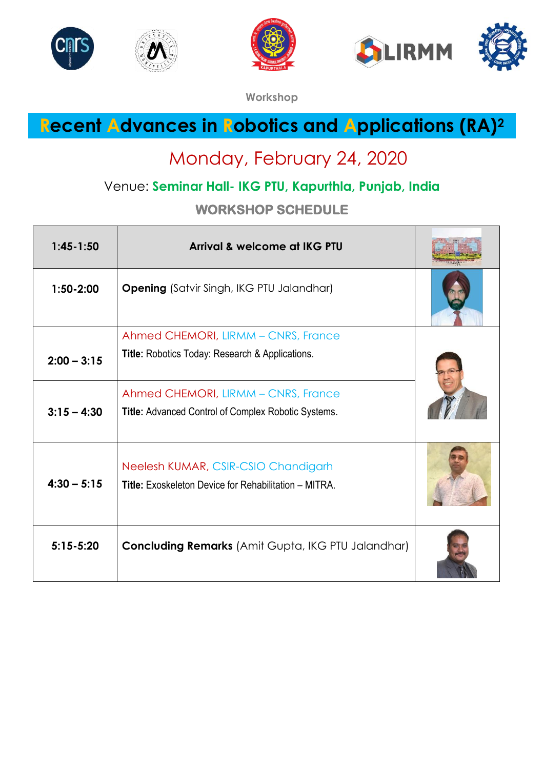









**Workshop**

## **Recent Advances in Robotics and Applications (RA)<sup>2</sup>**

## Monday, February 24, 2020

### Venue: **Seminar Hall- IKG PTU, Kapurthla, Punjab, India**

**WORKSHOP SCHEDULE** 

| $1:45-1:50$   | Arrival & welcome at IKG PTU                                 |  |
|---------------|--------------------------------------------------------------|--|
| $1:50-2:00$   | <b>Opening</b> (Satvir Singh, IKG PTU Jalandhar)             |  |
|               | Ahmed CHEMORI, LIRMM - CNRS, France                          |  |
| $2:00 - 3:15$ | Title: Robotics Today: Research & Applications.              |  |
|               | Ahmed CHEMORI, LIRMM - CNRS, France                          |  |
| $3:15 - 4:30$ | Title: Advanced Control of Complex Robotic Systems.          |  |
|               | Neelesh KUMAR, CSIR-CSIO Chandigarh                          |  |
| $4:30 - 5:15$ | <b>Title:</b> Exoskeleton Device for Rehabilitation – MITRA. |  |
|               |                                                              |  |
| $5:15 - 5:20$ | <b>Concluding Remarks</b> (Amit Gupta, IKG PTU Jalandhar)    |  |